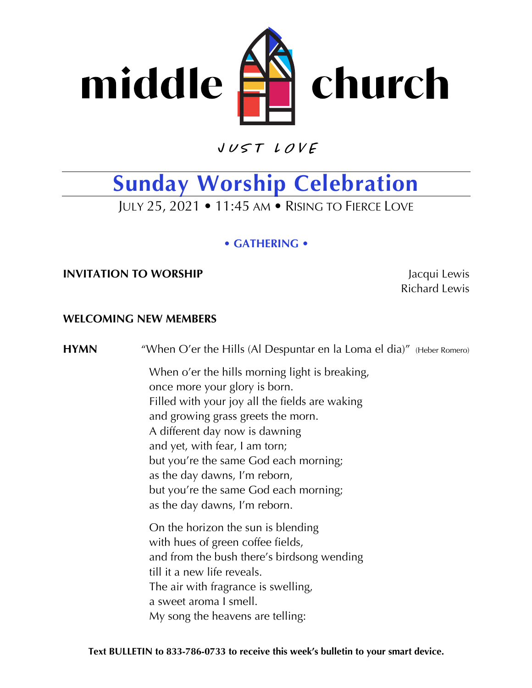

JUST LOVE

# **Sunday Worship Celebration**

JULY 25, 2021 • 11:45 AM • RISING TO FIERCE LOVE

**• GATHERING •**

### **INVITATION TO WORSHIP** Jacqui Lewis

Richard Lewis

### **WELCOMING NEW MEMBERS**

**HYMN** "When O'er the Hills (Al Despuntar en la Loma el dia)" (Heber Romero)

When o'er the hills morning light is breaking, once more your glory is born. Filled with your joy all the fields are waking and growing grass greets the morn. A different day now is dawning and yet, with fear, I am torn; but you're the same God each morning; as the day dawns, I'm reborn, but you're the same God each morning; as the day dawns, I'm reborn.

On the horizon the sun is blending with hues of green coffee fields, and from the bush there's birdsong wending till it a new life reveals. The air with fragrance is swelling, a sweet aroma I smell. My song the heavens are telling: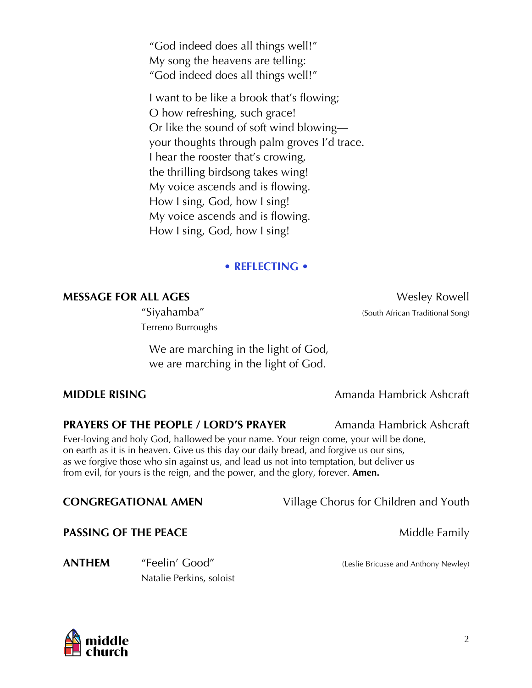"God indeed does all things well!" My song the heavens are telling: "God indeed does all things well!"

I want to be like a brook that's flowing; O how refreshing, such grace! Or like the sound of soft wind blowing your thoughts through palm groves I'd trace. I hear the rooster that's crowing, the thrilling birdsong takes wing! My voice ascends and is flowing. How I sing, God, how I sing! My voice ascends and is flowing. How I sing, God, how I sing!

### **• REFLECTING •**

### **MESSAGE FOR ALL AGES** Wesley Rowell

Terreno Burroughs

We are marching in the light of God, we are marching in the light of God.

### **PRAYERS OF THE PEOPLE / LORD'S PRAYER** Amanda Hambrick Ashcraft

Ever-loving and holy God, hallowed be your name. Your reign come, your will be done, on earth as it is in heaven. Give us this day our daily bread, and forgive us our sins, as we forgive those who sin against us, and lead us not into temptation, but deliver us from evil, for yours is the reign, and the power, and the glory, forever. **Amen.**

### **PASSING OF THE PEACE** Middle Family

Natalie Perkins, soloist

"Siyahamba" (South African Traditional Song)

**MIDDLE RISING** Amanda Hambrick Ashcraft

**CONGREGATIONAL AMEN** Village Chorus for Children and Youth

**ANTHEM** "Feelin' Good" (Leslie Bricusse and Anthony Newley)

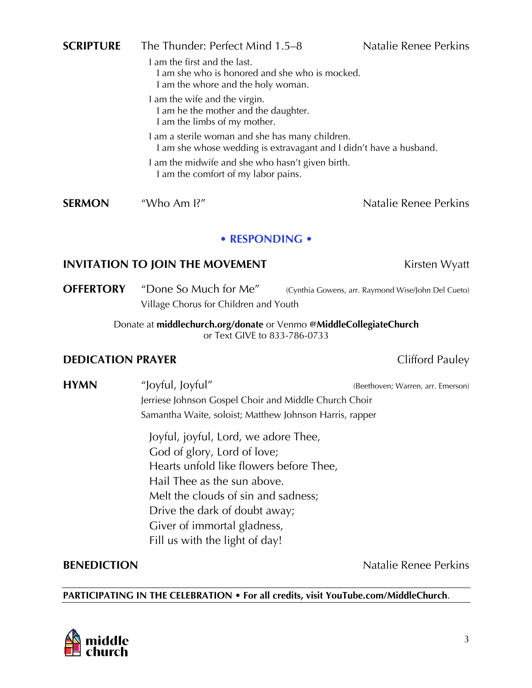**SCRIPTURE** The Thunder: Perfect Mind 1.5–8 Natalie Renee Perkins

I am the first and the last.

Joyful, joyful, Lord, we adore Thee, God of glory, Lord of love; Hearts unfold like flowers before Thee, Hail Thee as the sun above. Melt the clouds of sin and sadness; Drive the dark of doubt away; Giver of immortal gladness, Fill us with the light of day!

**BENEDICTION** Natalie Renee Perkins

**PARTICIPATING IN THE CELEBRATION • For all credits, visit YouTube.com/MiddleChurch**.

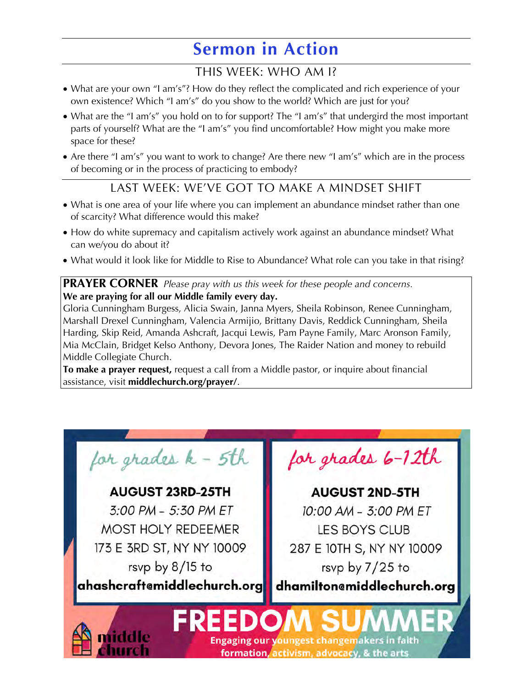# **Sermon in Action**

### THIS WEEK: WHO AM I?

- What are your own "I am's"? How do they reflect the complicated and rich experience of your own existence? Which "I am's" do you show to the world? Which are just for you?
- What are the "I am's" you hold on to for support? The "I am's" that undergird the most important parts of yourself? What are the "I am's" you find uncomfortable? How might you make more space for these?
- Are there "I am's" you want to work to change? Are there new "I am's" which are in the process of becoming or in the process of practicing to embody?

## LAST WEEK: WE'VE GOT TO MAKE A MINDSET SHIFT

- What is one area of your life where you can implement an abundance mindset rather than one of scarcity? What difference would this make?
- How do white supremacy and capitalism actively work against an abundance mindset? What can we/you do about it?
- What would it look like for Middle to Rise to Abundance? What role can you take in that rising?

**PRAYER CORNER** *Please pray with us this week for these people and concerns.* **We are praying for all our Middle family every day.**

Gloria Cunningham Burgess, Alicia Swain, Janna Myers, Sheila Robinson, Renee Cunningham, Marshall Drexel Cunningham, Valencia Armijio, Brittany Davis, Reddick Cunningham, Sheila Harding, Skip Reid, Amanda Ashcraft, Jacqui Lewis, Pam Payne Family, Marc Aronson Family, Mia McClain, Bridget Kelso Anthony, Devora Jones, The Raider Nation and money to rebuild Middle Collegiate Church.

**To make a prayer request,** [request a call from a Middle pastor, or inquire about financial](https://www.middlechurch.org/prayer/)  assistance, visit **middlechurch.org/prayer/**.

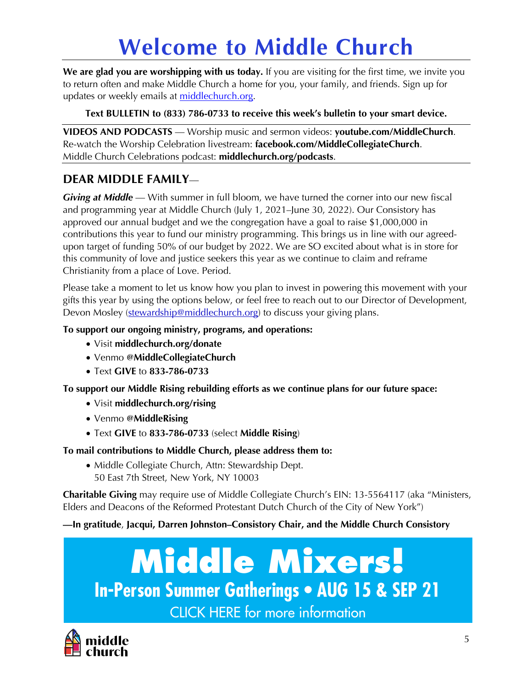# **[Welcome to Middle Church](https://www.middlechurch.org)**

**We are glad you are worshipping with us today.** If you are visiting for the first time, we invite you to return often and make Middle Church a home for you, your family, and friends. Sign up for updates or weekly emails at middlechurch.org.

### **Text BULLETIN to (833) 786-0733 to receive this week's bulletin to your smart device.**

**VIDEOS AND PODCASTS** — Worship music and sermon videos: **youtube.com/MiddleChurch**. Re-watch the Worship Celebration livestream: **facebook.com/MiddleCollegiateChurch**. Middle Church Celebrations podcast: **middlechurch.org/podcasts**.

### **DEAR MIDDLE FAMILY**—

*Giving at Middle* — With summer in full bloom, we have turned the corner into our new fiscal and programming year at Middle Church (July 1, 2021–June 30, 2022). Our Consistory has approved our annual budget and we the congregation have a goal to raise \$1,000,000 in contributions this year to fund our ministry programming. This brings us in line with our agreedupon target of funding 50% of our budget by 2022. We are SO excited about what is in store for this community of love and justice seekers this year as we continue to claim and reframe Christianity from a place of Love. Period.

[Please take a moment to let us know how you plan to invest in powering this movement with your](mailto:stewardship@middlechurch.org)  gifts this year by using the options below, or feel free to reach out to our Director of Development, Devon Mosley (stewardship@middlechurch.org) to discuss your giving plans.

### **[To support our ongoing ministry, programs, and operations:](https://www.middlechurch.org/donate/)**

- Visit **middlechurch.org/donate**
- Venmo **@MiddleCollegiateChurch**
- Text **GIVE** to **833-786-0733**

### **[To support our Middle Rising rebuilding efforts as we continue plans for our future space:](https://www.middlechurch.org/rising/)**

- Visit **middlechurch.org/rising**
- Venmo **@MiddleRising**
- Text **GIVE** to **833-786-0733** (select **Middle Rising**)

### **To mail contributions to Middle Church, please address them to:**

• Middle Collegiate Church, Attn: Stewardship Dept. 50 East 7th Street, New York, NY 10003

**Charitable Giving** may require use of Middle Collegiate Church's EIN: 13-5564117 (aka "Ministers, Elders and Deacons of the Reformed Protestant Dutch Church of the City of New York")

**—In gratitude**, **Jacqui, Darren Johnston–Consistory Chair, and the Middle Church Consistory**

# **[Middle Mixers!](https://www.middlechurch.org/mixers/)  In-Person Summer Gatherings • AUG 15 & SEP 21**  CLICK HERE for more information

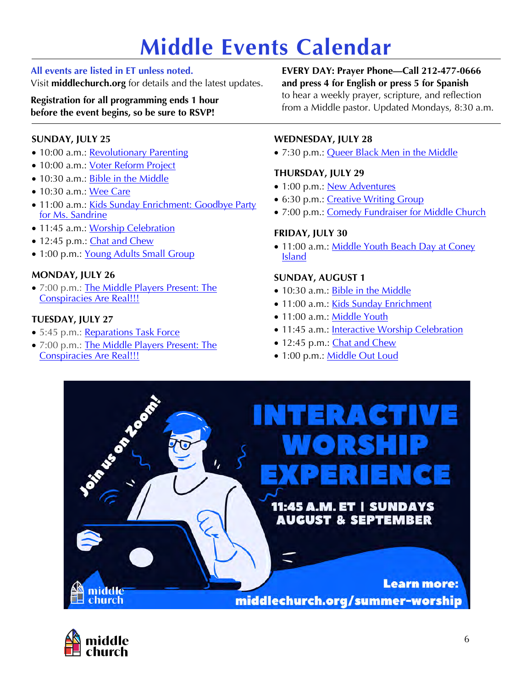# **Middle [Events Calendar](https://www.middlechurch.org/events/)**

### **All events are listed in ET unless noted.**

Visit **middlechurch.org** for details and the latest updates.

### **Registration for all programming ends 1 hour before the event begins, so be sure to RSVP!**

**SUNDAY, JULY 25**

- 10:00 a.m.: [Revolutionary](https://www.middlechurch.org/event/revolutionary-parenting/2021-07-25/) Parenting
- 10:00 a.m.: Voter Reform Project
- 10:30 a.m.: [Bible in the Middle](https://www.middlechurch.org/event/bible-in-the-middle/2021-07-25/)
- 10:30 a.m.: [Wee Care](https://www.middlechurch.org/event/wee-care/2021-07-25/)
- 11:00 a.m.: Kids Sunday Enrichment: Goodbye Party for Ms. Sandrine
- 11:45 a.m.: [Worship Celebration](https://www.middlechurch.org/event/worship-celebration-july-25-1145-a-m-et/)
- 12:45 p.m.: [Chat and Chew](https://www.middlechurch.org/event/virtual-chat-chew/2021-07-25/)
- 1:00 p.m.: [Young Adults Small Group](https://www.middlechurch.org/event/young-adults-small-group/2021-07-25/)

### **MONDAY, JULY 26**

• 7:00 p.m.: [The Middle Players Present: The](https://www.middlechurch.org/event/the-middle-players-present-the-conspiracies-are-real/)  Conspiracies Are Real!!!

### **TUESDAY, JULY 27**

- 5:45 p.m.: Reparations Task Force
- 7:00 p.m.: [The Middle Players Present: The](https://www.middlechurch.org/event/the-middle-players-present-the-conspiracies-are-real-2/)  Conspiracies Are Real!!!

### **EVERY DAY: Prayer Phone—Call 212-477-0666 and press 4 for English or press 5 for Spanish** to hear a weekly prayer, scripture, and reflection from a Middle pastor. Updated Mondays, 8:30 a.m.

### **WEDNESDAY, JULY 28**

• 7:30 p.m.: Queer [Black Men in the Middle](https://www.middlechurch.org/event/queer-black-men-in-the-middle/2021-07-28/)

### **THURSDAY, JULY 29**

- 1:00 p.m.: [New Adventures](https://www.middlechurch.org/event/new-adventures/2021-07-29/)
- 6:30 p.m.: [Creative Writing Group](https://www.middlechurch.org/event/creative-writing/2021-07-29/)
- 7:00 p.m.[: Comedy Fundraiser for Middle Church](https://www.middlechurch.org/event/comedy-fundraiser-for-middle-church/)

### **FRIDAY, JULY 30**

• 11:00 a.m.: Middle [Youth Beach Day at Coney](https://www.middlechurch.org/event/middle-youth-beach-day-at-coney-island/) Island

### **SUNDAY, AUGUST 1**

- 10:30 a.m.: [Bible in the Middle](https://www.middlechurch.org/event/bible-in-the-middle/2021-08-01/)
- 11:00 a.m.: Kids Sunday [Enrichment](https://www.middlechurch.org/event/kids-sunday-enrichment/2021-08-01/)
- 11:00 a.m.: [Middle Youth](https://www.middlechurch.org/event/middle-youth/2021-08-01/)
- 11:45 a.m.: [Interactive Worship Celebration](https://www.middlechurch.org/event/worship-celebration-august-1-1145-a-m-et/)
- 12:45 p.m.: [Chat and Chew](https://www.middlechurch.org/event/virtual-chat-chew/2021-08-01/)
- 1:00 p.m.: Middle [Out Loud](https://www.middlechurch.org/event/middle-out-loud/2021-08-01/)



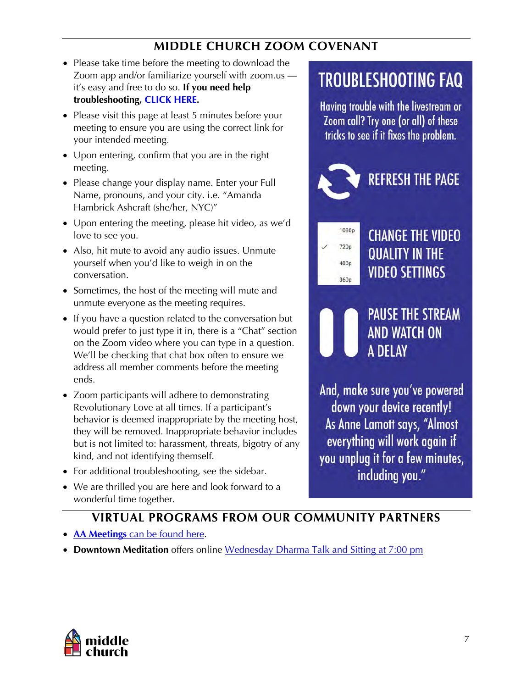## **MIDDLE CHURCH ZOOM COVENANT**

- Please take time before the meeting to download the [Zoom app and/or familiarize yourself with zoom.us](https://support.zoom.us/hc/en-us/sections/200305593-Troubleshooting)  it's easy and free to do so. **If you need help troubleshooting, CLICK HERE.**
- Please visit this page at least 5 minutes before your meeting to ensure you are using the correct link for your intended meeting.
- Upon entering, confirm that you are in the right meeting.
- Please change your display name. Enter your Full Name, pronouns, and your city. i.e. "Amanda Hambrick Ashcraft (she/her, NYC)"
- Upon entering the meeting, please hit video, as we'd love to see you.
- Also, hit mute to avoid any audio issues. Unmute yourself when you'd like to weigh in on the conversation.
- Sometimes, the host of the meeting will mute and unmute everyone as the meeting requires.
- If you have a question related to the conversation but would prefer to just type it in, there is a "Chat" section on the Zoom video where you can type in a question. We'll be checking that chat box often to ensure we address all member comments before the meeting ends.
- Zoom participants will adhere to demonstrating Revolutionary Love at all times. If a participant's behavior is deemed inappropriate by the meeting host, they will be removed. Inappropriate behavior includes but is not limited to: harassment, threats, bigotry of any kind, and not identifying themself.
- For additional troubleshooting, see the sidebar.
- We are thrilled you are here and look forward to a wonderful time together.

# **TROUBLESHOOTING FAQ**

Having trouble with the livestream or Zoom call? Try one (or all) of these tricks to see if it fixes the problem.



**CHANGE THE VIDEO QUALITY IN THE VIDEO SETTINGS** 



1080p

720p

480p

360<sub>p</sub>

## **PAUSE THE STREAM AND WATCH ON A DELAY**

And, make sure you've powered down your device recently! As Anne Lamott says, "Almost everything will work again if you unplug it for a few minutes, including you."

## **VIRTUAL PROGRAMS FROM OUR COMMUNITY PARTNERS**

- **AA Meetings** [can be found here.](http://www.ny-aa.org)
- **Downtown Meditation** offers online [Wednesday Dharma Talk and Sitting at 7:00 pm](https://www.downtownmeditation.com)